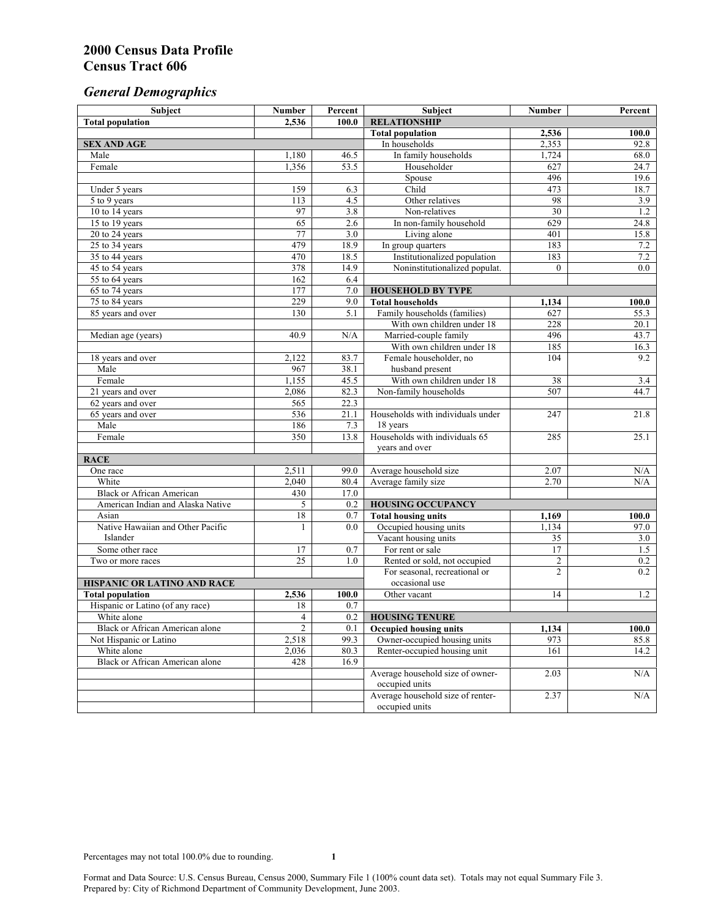# *General Demographics*

| Subject                           | <b>Number</b>   | Percent                 | Subject                                                 | <b>Number</b>  | Percent                    |
|-----------------------------------|-----------------|-------------------------|---------------------------------------------------------|----------------|----------------------------|
| <b>Total population</b>           | 2,536           | 100.0                   | <b>RELATIONSHIP</b>                                     |                |                            |
|                                   |                 |                         | <b>Total population</b>                                 | 2,536          | $\overline{100.0}$         |
| <b>SEX AND AGE</b>                |                 |                         | In households                                           | 2,353          | 92.8                       |
| Male                              | 1,180           | 46.5                    | In family households                                    | 1,724          | 68.0                       |
| Female                            | 1,356           | 53.5                    | Householder                                             | 627            | 24.7                       |
|                                   |                 |                         | Spouse                                                  | 496            | 19.6                       |
| Under 5 years                     | 159             | 6.3                     | Child                                                   | 473            | 18.7                       |
| 5 to 9 years                      | 113             | 4.5                     | Other relatives                                         | 98             | 3.9                        |
| 10 to 14 years                    | 97              | 3.8                     | Non-relatives                                           | 30             | 1.2                        |
| 15 to 19 years                    | 65              | 2.6                     | In non-family household                                 | 629            | 24.8                       |
| 20 to 24 years                    | 77              | 3.0                     | Living alone                                            | 401            | 15.8                       |
| $25 \text{ to } 34$ years         | 479             | 18.9                    | In group quarters                                       | 183            | 7.2                        |
| 35 to 44 years                    | 470             | 18.5                    | Institutionalized population                            | 183            | 7.2                        |
| 45 to 54 years                    | 378             | 14.9                    | Noninstitutionalized populat.                           | $\overline{0}$ | 0.0                        |
| 55 to 64 years                    | 162             | 6.4                     |                                                         |                |                            |
| 65 to 74 years                    | 177             | 7.0                     | <b>HOUSEHOLD BY TYPE</b>                                |                |                            |
| 75 to 84 years                    | 229<br>130      | 9.0<br>$\overline{5.1}$ | <b>Total households</b><br>Family households (families) | 1,134<br>627   | 100.0<br>$\overline{55.3}$ |
| 85 years and over                 |                 |                         | With own children under 18                              | 228            |                            |
|                                   | 40.9            | N/A                     | Married-couple family                                   | 496            | 20.1<br>43.7               |
| Median age (years)                |                 |                         | With own children under 18                              | 185            | 16.3                       |
|                                   | 2,122           | 83.7                    | Female householder, no                                  | 104            | 9.2                        |
| 18 years and over<br>Male         | 967             | 38.1                    | husband present                                         |                |                            |
| Female                            | 1,155           | 45.5                    | With own children under 18                              | 38             | 3.4                        |
| 21 years and over                 | 2,086           | 82.3                    | Non-family households                                   | 507            | 44.7                       |
| 62 years and over                 | 565             | 22.3                    |                                                         |                |                            |
| 65 years and over                 | 536             | 21.1                    | Households with individuals under                       | 247            | 21.8                       |
| Male                              | 186             | 7.3                     | 18 years                                                |                |                            |
| Female                            | 350             | 13.8                    | Households with individuals 65                          | 285            | 25.1                       |
|                                   |                 |                         | years and over                                          |                |                            |
| <b>RACE</b>                       |                 |                         |                                                         |                |                            |
| One race                          | 2,511           | 99.0                    | Average household size                                  | 2.07           | $\rm N/A$                  |
| White                             | 2,040           | 80.4                    | Average family size                                     | 2.70           | N/A                        |
| <b>Black or African American</b>  | 430             | 17.0                    |                                                         |                |                            |
| American Indian and Alaska Native | 5               | 0.2                     | <b>HOUSING OCCUPANCY</b>                                |                |                            |
| Asian                             | 18              | 0.7                     | <b>Total housing units</b>                              | 1,169          | 100.0                      |
| Native Hawaiian and Other Pacific | 1               | 0.0                     | Occupied housing units                                  | 1,134          | 97.0                       |
| Islander                          |                 |                         | Vacant housing units                                    | 35             | 3.0                        |
| Some other race                   | 17              | 0.7                     | For rent or sale                                        | 17             | 1.5                        |
| Two or more races                 | $\overline{25}$ | 1.0                     | Rented or sold, not occupied                            | $\overline{c}$ | 0.2                        |
|                                   |                 |                         | For seasonal, recreational or                           | $\overline{2}$ | 0.2                        |
| HISPANIC OR LATINO AND RACE       |                 |                         | occasional use                                          |                |                            |
| <b>Total population</b>           | 2,536           | 100.0                   | Other vacant                                            | 14             | 1.2                        |
| Hispanic or Latino (of any race)  | 18              | 0.7                     |                                                         |                |                            |
| White alone                       | 4               | 0.2                     | <b>HOUSING TENURE</b>                                   |                |                            |
| Black or African American alone   | $\overline{2}$  | 0.1                     | <b>Occupied housing units</b>                           | 1,134          | 100.0                      |
| Not Hispanic or Latino            | 2,518           | 99.3                    | Owner-occupied housing units                            | 973            | 85.8                       |
| White alone                       | 2,036           | 80.3                    | Renter-occupied housing unit                            | 161            | 14.2                       |
| Black or African American alone   | 428             | 16.9                    |                                                         |                |                            |
|                                   |                 |                         | Average household size of owner-                        | 2.03           | N/A                        |
|                                   |                 |                         | occupied units                                          |                |                            |
|                                   |                 |                         | Average household size of renter-                       | 2.37           | N/A                        |
|                                   |                 |                         | occupied units                                          |                |                            |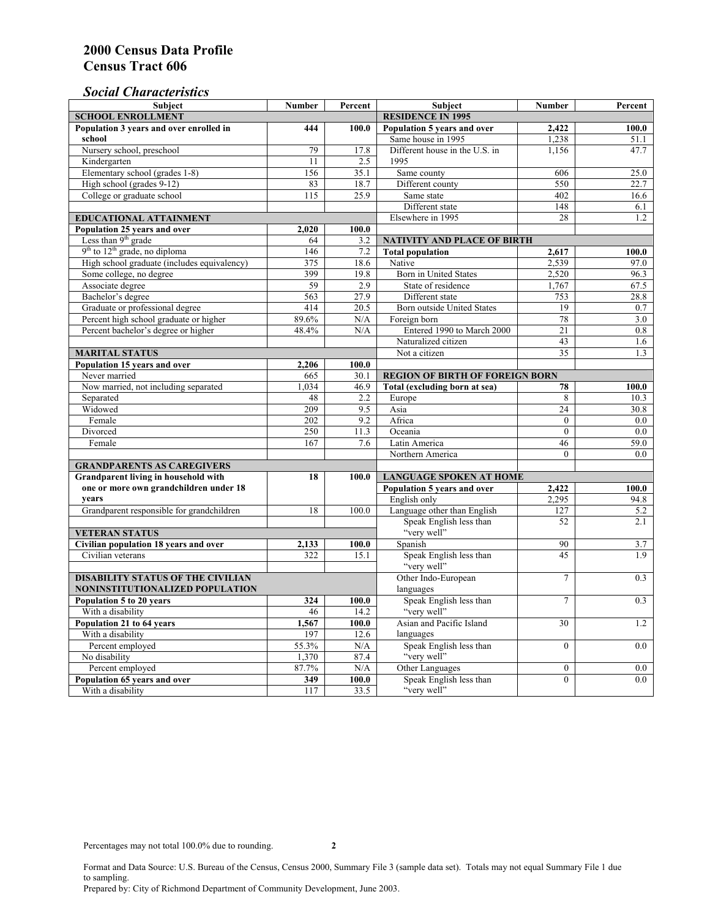### *Social Characteristics*

| <b>Subject</b>                              | <b>Number</b>            | Percent        | <b>Subject</b>                         | <b>Number</b>    | Percent |
|---------------------------------------------|--------------------------|----------------|----------------------------------------|------------------|---------|
| <b>SCHOOL ENROLLMENT</b>                    | <b>RESIDENCE IN 1995</b> |                |                                        |                  |         |
| Population 3 years and over enrolled in     | 444                      | 100.0          | Population 5 years and over            | 2.422            | 100.0   |
| school                                      |                          |                | Same house in 1995                     | 1,238            | 51.1    |
| Nursery school, preschool                   | 79                       | 17.8           | Different house in the U.S. in         | 1,156            | 47.7    |
| Kindergarten                                | 11                       | 2.5            | 1995                                   |                  |         |
| Elementary school (grades 1-8)              | 156                      | 35.1           | Same county                            | 606              | 25.0    |
| High school (grades 9-12)                   | 83                       | 18.7           | Different county                       | 550              | 22.7    |
| College or graduate school                  | 115                      | 25.9           | Same state                             | 402              | 16.6    |
|                                             |                          |                | Different state                        | 148              | 6.1     |
| EDUCATIONAL ATTAINMENT                      |                          |                | Elsewhere in 1995                      | 28               | 1.2     |
| Population 25 years and over                | 2,020                    | 100.0          |                                        |                  |         |
| Less than 9 <sup>th</sup> grade             | 64                       | 3.2            | <b>NATIVITY AND PLACE OF BIRTH</b>     |                  |         |
| $9th$ to $12th$ grade, no diploma           | 146                      | 7.2            | <b>Total population</b>                | 2,617            | 100.0   |
| High school graduate (includes equivalency) | 375                      | 18.6           | Native                                 | 2,539            | 97.0    |
| Some college, no degree                     | 399                      | 19.8           | Born in United States                  | 2,520            | 96.3    |
| Associate degree                            | 59                       | 2.9            | State of residence                     | 1,767            | 67.5    |
| Bachelor's degree                           | 563                      | 27.9           | Different state                        | 753              | 28.8    |
| Graduate or professional degree             | 414                      | 20.5           | <b>Born outside United States</b>      | 19               | 0.7     |
| Percent high school graduate or higher      | 89.6%                    | N/A            | Foreign born                           | 78               | 3.0     |
| Percent bachelor's degree or higher         | 48.4%                    | N/A            | Entered 1990 to March 2000             | 21               | 0.8     |
|                                             |                          |                | Naturalized citizen                    | 43               | 1.6     |
| <b>MARITAL STATUS</b>                       |                          | Not a citizen  | 35                                     | 1.3              |         |
| Population 15 years and over                | 2,206                    | 100.0          |                                        |                  |         |
| Never married                               | 665                      | 30.1           | <b>REGION OF BIRTH OF FOREIGN BORN</b> |                  |         |
| Now married, not including separated        | 1,034                    | 46.9           | Total (excluding born at sea)          | 78               | 100.0   |
| Separated                                   | 48                       | 2.2            | Europe                                 | 8                | 10.3    |
| Widowed                                     | 209                      | 9.5            | Asia                                   | 24               | 30.8    |
| Female                                      | 202                      | 9.2            | Africa                                 | $\Omega$         | 0.0     |
| Divorced                                    | 250                      | 11.3           | Oceania                                | $\mathbf{0}$     | 0.0     |
| Female                                      | 167                      | 7.6            | Latin America                          | 46               | 59.0    |
|                                             |                          |                | Northern America                       | $\theta$         | 0.0     |
| <b>GRANDPARENTS AS CAREGIVERS</b>           |                          |                |                                        |                  |         |
| Grandparent living in household with<br>18  |                          | 100.0          | <b>LANGUAGE SPOKEN AT HOME</b>         |                  |         |
| one or more own grandchildren under 18      |                          |                | Population 5 years and over            | 2,422            | 100.0   |
| years                                       |                          |                | English only                           | 2,295            | 94.8    |
| Grandparent responsible for grandchildren   | 18                       | 100.0          | Language other than English            | 127              | 5.2     |
|                                             |                          |                | Speak English less than                | 52               | 2.1     |
| <b>VETERAN STATUS</b>                       |                          |                | "very well"                            |                  |         |
| Civilian population 18 years and over       | 2,133                    | 100.0          | Spanish                                | 90               | 3.7     |
| Civilian veterans                           | 322                      | 15.1           | Speak English less than<br>"very well" | 45               | 1.9     |
| <b>DISABILITY STATUS OF THE CIVILIAN</b>    | Other Indo-European      | $\overline{7}$ | 0.3                                    |                  |         |
| NONINSTITUTIONALIZED POPULATION             | languages                |                |                                        |                  |         |
| Population 5 to 20 years                    | 324                      | 100.0          | Speak English less than                | $\overline{7}$   | 0.3     |
| With a disability                           | 46                       | 14.2           | "very well"                            |                  |         |
| Population 21 to 64 years                   | 1,567                    | 100.0          | Asian and Pacific Island               | 30               | 1.2     |
| With a disability                           | 197                      | 12.6           | languages                              |                  |         |
| Percent employed                            | 55.3%                    | N/A            | Speak English less than                | $\mathbf{0}$     | 0.0     |
| No disability                               | 1,370                    | 87.4           | "very well"                            |                  |         |
| Percent employed                            | 87.7%                    | N/A            | Other Languages                        | $\boldsymbol{0}$ | $0.0\,$ |
| Population 65 years and over                | 349                      | 100.0          | Speak English less than                | $\mathbf{0}$     | 0.0     |
| With a disability                           | 117                      | 33.5           | "very well"                            |                  |         |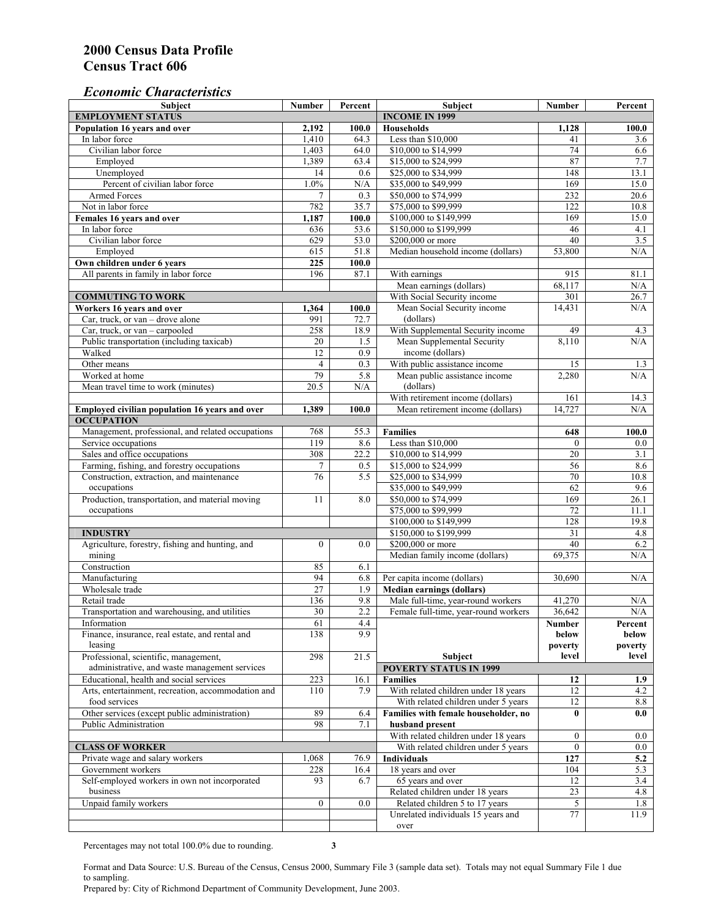#### *Economic Characteristics*

| <b>Subject</b>                                     | Number           | Percent | Subject                              | Number         | Percent    |
|----------------------------------------------------|------------------|---------|--------------------------------------|----------------|------------|
| <b>EMPLOYMENT STATUS</b>                           |                  |         | <b>INCOME IN 1999</b>                |                |            |
| Population 16 years and over                       | 2,192            | 100.0   | Households                           | 1,128          | 100.0      |
| In labor force                                     | 1,410            | 64.3    | Less than \$10,000                   | 41             | 3.6        |
| Civilian labor force                               | 1,403            | 64.0    | \$10,000 to \$14,999                 | 74             | 6.6        |
| Employed                                           | 1,389            | 63.4    | \$15,000 to \$24,999                 | 87             | 7.7        |
| Unemployed                                         | 14               | 0.6     | \$25,000 to \$34,999                 | 148            | 13.1       |
| Percent of civilian labor force                    | 1.0%             | N/A     | \$35,000 to \$49,999                 | 169            | 15.0       |
| Armed Forces                                       | $\overline{7}$   | 0.3     | \$50,000 to \$74,999                 | 232            | 20.6       |
| Not in labor force                                 | 782              | 35.7    | \$75,000 to \$99,999                 | 122            | 10.8       |
| Females 16 years and over                          | 1,187            | 100.0   | \$100,000 to \$149,999               | 169            | 15.0       |
| In labor force                                     | 636              | 53.6    | \$150,000 to \$199,999               | 46             | 4.1        |
| Civilian labor force                               | 629              | 53.0    | \$200,000 or more                    | 40             | 3.5        |
| Employed                                           | 615              | 51.8    | Median household income (dollars)    | 53,800         | N/A        |
| Own children under 6 years                         | 225              | 100.0   |                                      |                |            |
| All parents in family in labor force               | 196              | 87.1    | With earnings                        | 915            | 81.1       |
|                                                    |                  |         | Mean earnings (dollars)              | 68,117         | N/A        |
| <b>COMMUTING TO WORK</b>                           |                  |         | With Social Security income          | 301            | 26.7       |
| Workers 16 years and over                          | 1,364            | 100.0   | Mean Social Security income          | 14,431         | N/A        |
| Car, truck, or van – drove alone                   | 991              | 72.7    | (dollars)                            |                |            |
| Car, truck, or van - carpooled                     | 258              | 18.9    | With Supplemental Security income    | 49             | 4.3        |
| Public transportation (including taxicab)          | 20               | 1.5     | Mean Supplemental Security           | 8,110          | N/A        |
| Walked                                             | 12               | 0.9     | income (dollars)                     |                |            |
| Other means                                        | $\overline{4}$   | 0.3     | With public assistance income        | 15             |            |
| Worked at home                                     | 79               | 5.8     | Mean public assistance income        | 2.280          | 1.3<br>N/A |
|                                                    |                  |         | (dollars)                            |                |            |
| Mean travel time to work (minutes)                 | 20.5             | N/A     |                                      |                |            |
|                                                    |                  |         | With retirement income (dollars)     | 161            | 14.3       |
| Employed civilian population 16 years and over     | 1,389            | 100.0   | Mean retirement income (dollars)     | 14,727         | N/A        |
| <b>OCCUPATION</b>                                  |                  |         |                                      |                |            |
| Management, professional, and related occupations  | 768              | 55.3    | <b>Families</b>                      | 648            | 100.0      |
| Service occupations                                | 119              | 8.6     | Less than \$10,000                   | $\mathbf{0}$   | $0.0\,$    |
| Sales and office occupations                       | 308              | 22.2    | \$10,000 to \$14,999                 | 20             | 3.1        |
| Farming, fishing, and forestry occupations         | 7                | 0.5     | \$15,000 to \$24,999                 | 56             | 8.6        |
| Construction, extraction, and maintenance          | 76               | 5.5     | \$25,000 to \$34,999                 | 70             | 10.8       |
| occupations                                        |                  |         | \$35,000 to \$49,999                 | 62             | 9.6        |
| Production, transportation, and material moving    | 11               | 8.0     | \$50,000 to \$74,999                 | 169            | 26.1       |
| occupations                                        |                  |         | \$75,000 to \$99,999                 | 72             | 11.1       |
|                                                    |                  |         | \$100,000 to \$149,999               | 128            | 19.8       |
| <b>INDUSTRY</b>                                    |                  |         | \$150,000 to \$199,999               | 31             | 4.8        |
| Agriculture, forestry, fishing and hunting, and    | $\boldsymbol{0}$ | 0.0     | \$200,000 or more                    | 40             | 6.2        |
| mining                                             |                  |         | Median family income (dollars)       | 69,375         | N/A        |
| Construction                                       | 85               | 6.1     |                                      |                |            |
| Manufacturing                                      | 94               | 6.8     | Per capita income (dollars)          | 30,690         | N/A        |
| Wholesale trade                                    | $\overline{27}$  | 1.9     | <b>Median earnings (dollars)</b>     |                |            |
| Retail trade                                       | 136              | 9.8     | Male full-time, year-round workers   | 41,270         | N/A        |
| Transportation and warehousing, and utilities      | 30               | 2.2     | Female full-time, year-round workers | 36,642         | N/A        |
| Information                                        | 61               | 4.4     |                                      | Number         | Percent    |
| Finance, insurance, real estate, and rental and    | 138              | 9.9     |                                      | below          | below      |
| leasing                                            |                  |         |                                      | poverty        | poverty    |
| Professional, scientific, management,              | 298              | 21.5    | Subject                              | level          | level      |
| administrative, and waste management services      |                  |         | <b>POVERTY STATUS IN 1999</b>        |                |            |
| Educational, health and social services            | 223              | 16.1    | <b>Families</b>                      | 12             | 1.9        |
| Arts, entertainment, recreation, accommodation and | 110              | 7.9     | With related children under 18 years | 12             | 4.2        |
| food services                                      |                  |         | With related children under 5 years  | 12             | $8.8\,$    |
| Other services (except public administration)      | 89               | 6.4     | Families with female householder, no | $\bf{0}$       | 0.0        |
| Public Administration                              | 98               | 7.1     | husband present                      |                |            |
|                                                    |                  |         | With related children under 18 years | $\overline{0}$ | $0.0\,$    |
| <b>CLASS OF WORKER</b>                             |                  |         | With related children under 5 years  | $\overline{0}$ | 0.0        |
| Private wage and salary workers                    | 1,068            | 76.9    | Individuals                          | 127            | 5.2        |
| Government workers                                 | 228              | 16.4    | 18 years and over                    | 104            | 5.3        |
| Self-employed workers in own not incorporated      | 93               | 6.7     | 65 years and over                    | 12             | 3.4        |
| business                                           |                  |         | Related children under 18 years      | 23             | 4.8        |
| Unpaid family workers                              | $\mathbf{0}$     | 0.0     | Related children 5 to 17 years       | 5              | 1.8        |
|                                                    |                  |         | Unrelated individuals 15 years and   | 77             | 11.9       |
|                                                    |                  |         | over                                 |                |            |
|                                                    |                  |         |                                      |                |            |

Percentages may not total 100.0% due to rounding. **3** 

Format and Data Source: U.S. Bureau of the Census, Census 2000, Summary File 3 (sample data set). Totals may not equal Summary File 1 due to sampling.

Prepared by: City of Richmond Department of Community Development, June 2003.